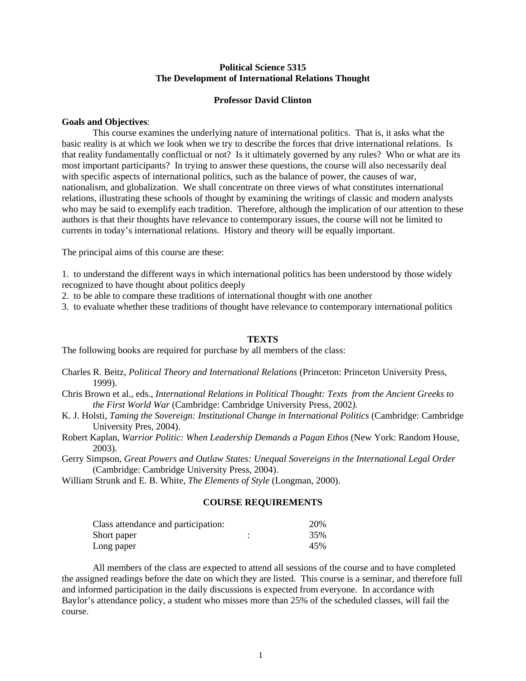## **Political Science 5315 The Development of International Relations Thought**

## **Professor David Clinton**

### **Goals and Objectives**:

 This course examines the underlying nature of international politics. That is, it asks what the basic reality is at which we look when we try to describe the forces that drive international relations. Is that reality fundamentally conflictual or not? Is it ultimately governed by any rules? Who or what are its most important participants? In trying to answer these questions, the course will also necessarily deal with specific aspects of international politics, such as the balance of power, the causes of war, nationalism, and globalization. We shall concentrate on three views of what constitutes international relations, illustrating these schools of thought by examining the writings of classic and modern analysts who may be said to exemplify each tradition. Therefore, although the implication of our attention to these authors is that their thoughts have relevance to contemporary issues, the course will not be limited to currents in today's international relations. History and theory will be equally important.

The principal aims of this course are these:

1. to understand the different ways in which international politics has been understood by those widely recognized to have thought about politics deeply

2. to be able to compare these traditions of international thought with one another

3. to evaluate whether these traditions of thought have relevance to contemporary international politics

#### **TEXTS**

The following books are required for purchase by all members of the class:

- Charles R. Beitz, *Political Theory and International Relations* (Princeton: Princeton University Press, 1999).
- Chris Brown et al., eds., *International Relations in Political Thought: Texts from the Ancient Greeks to the First World War* (Cambridge: Cambridge University Press, 2002*).*
- K. J. Holsti, *Taming the Sovereign: Institutional Change in International Politics* (Cambridge: Cambridge University Pres, 2004).
- Robert Kaplan, *Warrior Politic: When Leadership Demands a Pagan Ethos* (New York: Random House, 2003).
- Gerry Simpson, *Great Powers and Outlaw States: Unequal Sovereigns in the International Legal Order*  (Cambridge: Cambridge University Press, 2004).

William Strunk and E. B. White, *The Elements of Style* (Longman, 2000).

## **COURSE REQUIREMENTS**

| Class attendance and participation: |   | 20% |
|-------------------------------------|---|-----|
| Short paper                         | ٠ | 35% |
| Long paper                          |   | 45% |

 All members of the class are expected to attend all sessions of the course and to have completed the assigned readings before the date on which they are listed. This course is a seminar, and therefore full and informed participation in the daily discussions is expected from everyone. In accordance with Baylor's attendance policy, a student who misses more than 25% of the scheduled classes, will fail the course.